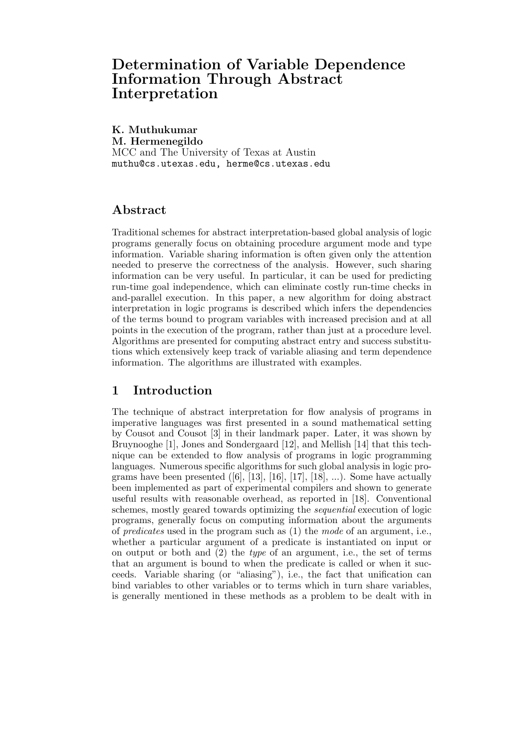# Determination of Variable Dependence Information Through Abstract Interpretation

K. Muthukumar

M. Hermenegildo MCC and The University of Texas at Austin muthu@cs.utexas.edu, herme@cs.utexas.edu

# Abstract

Traditional schemes for abstract interpretation-based global analysis of logic programs generally focus on obtaining procedure argument mode and type information. Variable sharing information is often given only the attention needed to preserve the correctness of the analysis. However, such sharing information can be very useful. In particular, it can be used for predicting run-time goal independence, which can eliminate costly run-time checks in and-parallel execution. In this paper, a new algorithm for doing abstract interpretation in logic programs is described which infers the dependencies of the terms bound to program variables with increased precision and at all points in the execution of the program, rather than just at a procedure level. Algorithms are presented for computing abstract entry and success substitutions which extensively keep track of variable aliasing and term dependence information. The algorithms are illustrated with examples.

# 1 Introduction

The technique of abstract interpretation for flow analysis of programs in imperative languages was first presented in a sound mathematical setting by Cousot and Cousot [3] in their landmark paper. Later, it was shown by Bruynooghe [1], Jones and Sondergaard [12], and Mellish [14] that this technique can be extended to flow analysis of programs in logic programming languages. Numerous specific algorithms for such global analysis in logic programs have been presented  $([6], [13], [16], [17], [18], ...)$ . Some have actually been implemented as part of experimental compilers and shown to generate useful results with reasonable overhead, as reported in [18]. Conventional schemes, mostly geared towards optimizing the sequential execution of logic programs, generally focus on computing information about the arguments of *predicates* used in the program such as  $(1)$  the *mode* of an argument, i.e., whether a particular argument of a predicate is instantiated on input or on output or both and  $(2)$  the *type* of an argument, i.e., the set of terms that an argument is bound to when the predicate is called or when it succeeds. Variable sharing (or "aliasing"), i.e., the fact that unification can bind variables to other variables or to terms which in turn share variables, is generally mentioned in these methods as a problem to be dealt with in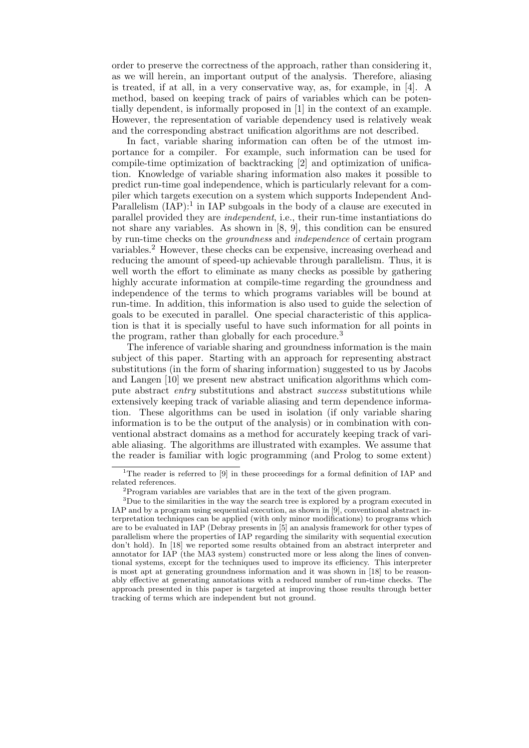order to preserve the correctness of the approach, rather than considering it, as we will herein, an important output of the analysis. Therefore, aliasing is treated, if at all, in a very conservative way, as, for example, in [4]. A method, based on keeping track of pairs of variables which can be potentially dependent, is informally proposed in [1] in the context of an example. However, the representation of variable dependency used is relatively weak and the corresponding abstract unification algorithms are not described.

In fact, variable sharing information can often be of the utmost importance for a compiler. For example, such information can be used for compile-time optimization of backtracking [2] and optimization of unification. Knowledge of variable sharing information also makes it possible to predict run-time goal independence, which is particularly relevant for a compiler which targets execution on a system which supports Independent And-Parallelism  $(IAP)$ :<sup>1</sup> in IAP subgoals in the body of a clause are executed in parallel provided they are independent, i.e., their run-time instantiations do not share any variables. As shown in [8, 9], this condition can be ensured by run-time checks on the groundness and independence of certain program variables.<sup>2</sup> However, these checks can be expensive, increasing overhead and reducing the amount of speed-up achievable through parallelism. Thus, it is well worth the effort to eliminate as many checks as possible by gathering highly accurate information at compile-time regarding the groundness and independence of the terms to which programs variables will be bound at run-time. In addition, this information is also used to guide the selection of goals to be executed in parallel. One special characteristic of this application is that it is specially useful to have such information for all points in the program, rather than globally for each procedure.<sup>3</sup>

The inference of variable sharing and groundness information is the main subject of this paper. Starting with an approach for representing abstract substitutions (in the form of sharing information) suggested to us by Jacobs and Langen [10] we present new abstract unification algorithms which compute abstract entry substitutions and abstract success substitutions while extensively keeping track of variable aliasing and term dependence information. These algorithms can be used in isolation (if only variable sharing information is to be the output of the analysis) or in combination with conventional abstract domains as a method for accurately keeping track of variable aliasing. The algorithms are illustrated with examples. We assume that the reader is familiar with logic programming (and Prolog to some extent)

<sup>&</sup>lt;sup>1</sup>The reader is referred to [9] in these proceedings for a formal definition of IAP and related references.

<sup>2</sup>Program variables are variables that are in the text of the given program.

<sup>&</sup>lt;sup>3</sup>Due to the similarities in the way the search tree is explored by a program executed in IAP and by a program using sequential execution, as shown in [9], conventional abstract interpretation techniques can be applied (with only minor modifications) to programs which are to be evaluated in IAP (Debray presents in [5] an analysis framework for other types of parallelism where the properties of IAP regarding the similarity with sequential execution don't hold). In [18] we reported some results obtained from an abstract interpreter and annotator for IAP (the MA3 system) constructed more or less along the lines of conventional systems, except for the techniques used to improve its efficiency. This interpreter is most apt at generating groundness information and it was shown in [18] to be reasonably effective at generating annotations with a reduced number of run-time checks. The approach presented in this paper is targeted at improving those results through better tracking of terms which are independent but not ground.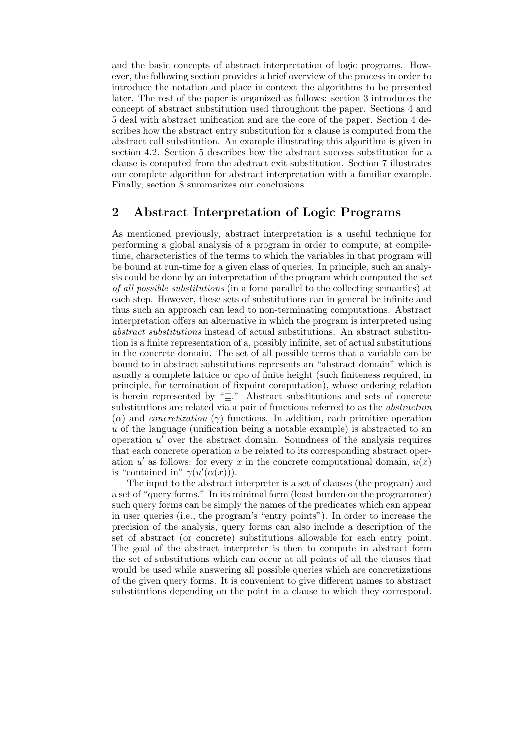and the basic concepts of abstract interpretation of logic programs. However, the following section provides a brief overview of the process in order to introduce the notation and place in context the algorithms to be presented later. The rest of the paper is organized as follows: section 3 introduces the concept of abstract substitution used throughout the paper. Sections 4 and 5 deal with abstract unification and are the core of the paper. Section 4 describes how the abstract entry substitution for a clause is computed from the abstract call substitution. An example illustrating this algorithm is given in section 4.2. Section 5 describes how the abstract success substitution for a clause is computed from the abstract exit substitution. Section 7 illustrates our complete algorithm for abstract interpretation with a familiar example. Finally, section 8 summarizes our conclusions.

# 2 Abstract Interpretation of Logic Programs

As mentioned previously, abstract interpretation is a useful technique for performing a global analysis of a program in order to compute, at compiletime, characteristics of the terms to which the variables in that program will be bound at run-time for a given class of queries. In principle, such an analysis could be done by an interpretation of the program which computed the set of all possible substitutions (in a form parallel to the collecting semantics) at each step. However, these sets of substitutions can in general be infinite and thus such an approach can lead to non-terminating computations. Abstract interpretation offers an alternative in which the program is interpreted using abstract substitutions instead of actual substitutions. An abstract substitution is a finite representation of a, possibly infinite, set of actual substitutions in the concrete domain. The set of all possible terms that a variable can be bound to in abstract substitutions represents an "abstract domain" which is usually a complete lattice or cpo of finite height (such finiteness required, in principle, for termination of fixpoint computation), whose ordering relation is herein represented by " $\subseteq$ ." Abstract substitutions and sets of concrete substitutions are related via a pair of functions referred to as the abstraction  $(\alpha)$  and *concretization*  $(\gamma)$  functions. In addition, each primitive operation u of the language (unification being a notable example) is abstracted to an operation  $u'$  over the abstract domain. Soundness of the analysis requires that each concrete operation u be related to its corresponding abstract operation u' as follows: for every x in the concrete computational domain,  $u(x)$ is "contained in"  $\gamma(u'(\alpha(x)))$ .

The input to the abstract interpreter is a set of clauses (the program) and a set of "query forms." In its minimal form (least burden on the programmer) such query forms can be simply the names of the predicates which can appear in user queries (i.e., the program's "entry points"). In order to increase the precision of the analysis, query forms can also include a description of the set of abstract (or concrete) substitutions allowable for each entry point. The goal of the abstract interpreter is then to compute in abstract form the set of substitutions which can occur at all points of all the clauses that would be used while answering all possible queries which are concretizations of the given query forms. It is convenient to give different names to abstract substitutions depending on the point in a clause to which they correspond.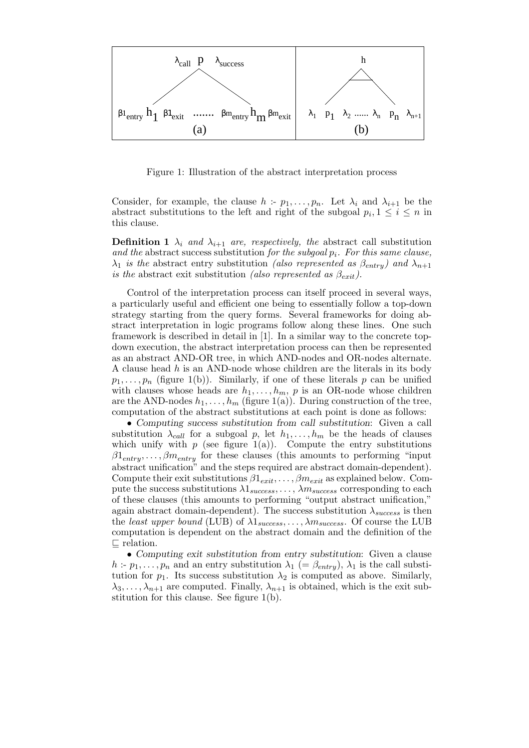

Figure 1: Illustration of the abstract interpretation process

Consider, for example, the clause  $h : p_1, \ldots, p_n$ . Let  $\lambda_i$  and  $\lambda_{i+1}$  be the abstract substitutions to the left and right of the subgoal  $p_i, 1 \leq i \leq n$  in this clause.

**Definition 1**  $\lambda_i$  and  $\lambda_{i+1}$  are, respectively, the abstract call substitution and the abstract success substitution for the subgoal  $p_i$ . For this same clause,  $\lambda_1$  is the abstract entry substitution (also represented as  $\beta_{entry}$ ) and  $\lambda_{n+1}$ is the abstract exit substitution (also represented as  $\beta_{\text{exit}}$ ).

Control of the interpretation process can itself proceed in several ways, a particularly useful and efficient one being to essentially follow a top-down strategy starting from the query forms. Several frameworks for doing abstract interpretation in logic programs follow along these lines. One such framework is described in detail in [1]. In a similar way to the concrete topdown execution, the abstract interpretation process can then be represented as an abstract AND-OR tree, in which AND-nodes and OR-nodes alternate. A clause head h is an AND-node whose children are the literals in its body  $p_1, \ldots, p_n$  (figure 1(b)). Similarly, if one of these literals p can be unified with clauses whose heads are  $h_1, \ldots, h_m$ , p is an OR-node whose children are the AND-nodes  $h_1, \ldots, h_m$  (figure 1(a)). During construction of the tree, computation of the abstract substitutions at each point is done as follows:

• Computing success substitution from call substitution: Given a call substitution  $\lambda_{call}$  for a subgoal p, let  $h_1, \ldots, h_m$  be the heads of clauses which unify with  $p$  (see figure 1(a)). Compute the entry substitutions  $\beta 1_{entry}, \ldots, \beta m_{entry}$  for these clauses (this amounts to performing "input abstract unification" and the steps required are abstract domain-dependent). Compute their exit substitutions  $\beta 1_{exit}, \ldots, \beta m_{exit}$  as explained below. Compute the success substitutions  $\lambda 1_{success}, \ldots, \lambda m_{success}$  corresponding to each of these clauses (this amounts to performing "output abstract unification," again abstract domain-dependent). The success substitution  $\lambda_{success}$  is then the least upper bound (LUB) of  $\lambda 1_{success}, \ldots, \lambda m_{success}$ . Of course the LUB computation is dependent on the abstract domain and the definition of the  $\Box$  relation.

• Computing exit substitution from entry substitution: Given a clause h :-  $p_1, \ldots, p_n$  and an entry substitution  $\lambda_1$  (=  $\beta_{entry}$ ),  $\lambda_1$  is the call substitution for  $p_1$ . Its success substitution  $\lambda_2$  is computed as above. Similarly,  $\lambda_3, \ldots, \lambda_{n+1}$  are computed. Finally,  $\lambda_{n+1}$  is obtained, which is the exit substitution for this clause. See figure 1(b).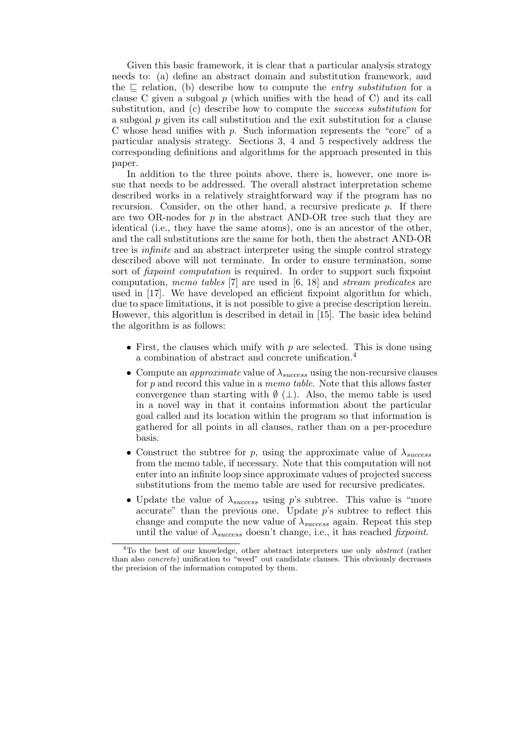Given this basic framework, it is clear that a particular analysis strategy needs to: (a) define an abstract domain and substitution framework, and the  $\Box$  relation, (b) describe how to compute the *entry substitution* for a clause C given a subgoal  $p$  (which unifies with the head of C) and its call substitution, and (c) describe how to compute the success substitution for a subgoal  $p$  given its call substitution and the exit substitution for a clause C whose head unifies with  $p$ . Such information represents the "core" of a particular analysis strategy. Sections 3, 4 and 5 respectively address the corresponding definitions and algorithms for the approach presented in this paper.

In addition to the three points above, there is, however, one more issue that needs to be addressed. The overall abstract interpretation scheme described works in a relatively straightforward way if the program has no recursion. Consider, on the other hand, a recursive predicate  $p$ . If there are two OR-nodes for  $p$  in the abstract AND-OR tree such that they are identical (i.e., they have the same atoms), one is an ancestor of the other, and the call substitutions are the same for both, then the abstract AND-OR tree is infinite and an abstract interpreter using the simple control strategy described above will not terminate. In order to ensure termination, some sort of *fixpoint computation* is required. In order to support such fixpoint computation, memo tables [7] are used in [6, 18] and stream predicates are used in [17]. We have developed an efficient fixpoint algorithm for which, due to space limitations, it is not possible to give a precise description herein. However, this algorithm is described in detail in [15]. The basic idea behind the algorithm is as follows:

- First, the clauses which unify with  $p$  are selected. This is done using a combination of abstract and concrete unification.<sup>4</sup>
- Compute an *approximate* value of  $\lambda_{success}$  using the non-recursive clauses for  $p$  and record this value in a *memo table*. Note that this allows faster convergence than starting with  $\emptyset$  ( $\perp$ ). Also, the memo table is used in a novel way in that it contains information about the particular goal called and its location within the program so that information is gathered for all points in all clauses, rather than on a per-procedure basis.
- Construct the subtree for p, using the approximate value of  $\lambda_{success}$ from the memo table, if necessary. Note that this computation will not enter into an infinite loop since approximate values of projected success substitutions from the memo table are used for recursive predicates.
- Update the value of  $\lambda_{success}$  using p's subtree. This value is "more" accurate" than the previous one. Update  $p$ 's subtree to reflect this change and compute the new value of  $\lambda_{success}$  again. Repeat this step until the value of  $\lambda_{success}$  doesn't change, i.e., it has reached fixpoint.

<sup>&</sup>lt;sup>4</sup>To the best of our knowledge, other abstract interpreters use only *abstract* (rather than also concrete) unification to "weed" out candidate clauses. This obviously decreases the precision of the information computed by them.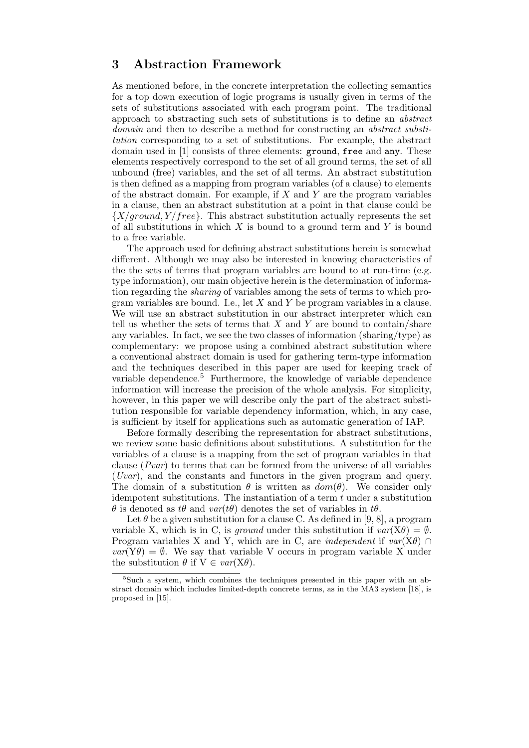# 3 Abstraction Framework

As mentioned before, in the concrete interpretation the collecting semantics for a top down execution of logic programs is usually given in terms of the sets of substitutions associated with each program point. The traditional approach to abstracting such sets of substitutions is to define an abstract domain and then to describe a method for constructing an *abstract substi*tution corresponding to a set of substitutions. For example, the abstract domain used in [1] consists of three elements: ground, free and any. These elements respectively correspond to the set of all ground terms, the set of all unbound (free) variables, and the set of all terms. An abstract substitution is then defined as a mapping from program variables (of a clause) to elements of the abstract domain. For example, if  $X$  and  $Y$  are the program variables in a clause, then an abstract substitution at a point in that clause could be  ${X/ground, Y/free}$ . This abstract substitution actually represents the set of all substitutions in which  $X$  is bound to a ground term and  $Y$  is bound to a free variable.

The approach used for defining abstract substitutions herein is somewhat different. Although we may also be interested in knowing characteristics of the the sets of terms that program variables are bound to at run-time (e.g. type information), our main objective herein is the determination of information regarding the sharing of variables among the sets of terms to which program variables are bound. I.e., let  $X$  and  $Y$  be program variables in a clause. We will use an abstract substitution in our abstract interpreter which can tell us whether the sets of terms that  $X$  and  $Y$  are bound to contain/share any variables. In fact, we see the two classes of information (sharing/type) as complementary: we propose using a combined abstract substitution where a conventional abstract domain is used for gathering term-type information and the techniques described in this paper are used for keeping track of variable dependence.<sup>5</sup> Furthermore, the knowledge of variable dependence information will increase the precision of the whole analysis. For simplicity, however, in this paper we will describe only the part of the abstract substitution responsible for variable dependency information, which, in any case, is sufficient by itself for applications such as automatic generation of IAP.

Before formally describing the representation for abstract substitutions, we review some basic definitions about substitutions. A substitution for the variables of a clause is a mapping from the set of program variables in that clause  $(Pvar)$  to terms that can be formed from the universe of all variables (Uvar), and the constants and functors in the given program and query. The domain of a substitution  $\theta$  is written as  $dom(\theta)$ . We consider only idempotent substitutions. The instantiation of a term  $t$  under a substitution  $\theta$  is denoted as t $\theta$  and  $var(t\theta)$  denotes the set of variables in t $\theta$ .

Let  $\theta$  be a given substitution for a clause C. As defined in [9, 8], a program variable X, which is in C, is ground under this substitution if  $var(X\theta) = \emptyset$ . Program variables X and Y, which are in C, are *independent* if  $var(X\theta)$  $var(Y\theta) = \emptyset$ . We say that variable V occurs in program variable X under the substitution  $\theta$  if  $V \in var(X\theta)$ .

<sup>&</sup>lt;sup>5</sup>Such a system, which combines the techniques presented in this paper with an abstract domain which includes limited-depth concrete terms, as in the MA3 system [18], is proposed in [15].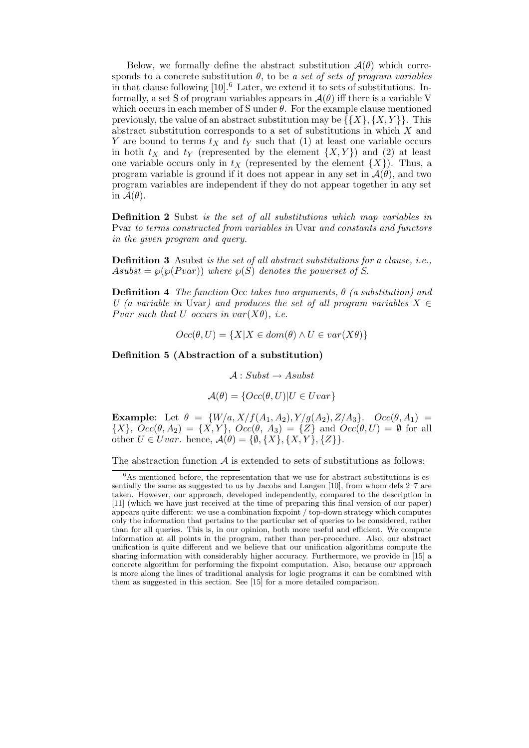Below, we formally define the abstract substitution  $\mathcal{A}(\theta)$  which corresponds to a concrete substitution  $\theta$ , to be a set of sets of program variables in that clause following  $[10]$ .<sup>6</sup> Later, we extend it to sets of substitutions. Informally, a set S of program variables appears in  $\mathcal{A}(\theta)$  iff there is a variable V which occurs in each member of S under  $\theta$ . For the example clause mentioned previously, the value of an abstract substitution may be  $\{\{X\}, \{X, Y\}\}\$ . This abstract substitution corresponds to a set of substitutions in which  $X$  and Y are bound to terms  $t_X$  and  $t_Y$  such that (1) at least one variable occurs in both  $t_X$  and  $t_Y$  (represented by the element  $\{X, Y\}$ ) and (2) at least one variable occurs only in  $t_X$  (represented by the element  $\{X\}$ ). Thus, a program variable is ground if it does not appear in any set in  $\mathcal{A}(\theta)$ , and two program variables are independent if they do not appear together in any set in  $\mathcal{A}(\theta)$ .

Definition 2 Subst is the set of all substitutions which map variables in Pvar to terms constructed from variables in Uvar and constants and functors in the given program and query.

Definition 3 Asubst is the set of all abstract substitutions for a clause, i.e., Asubst =  $\wp(\wp(Pvar))$  where  $\wp(S)$  denotes the powerset of S.

**Definition 4** The function Occ takes two arguments,  $\theta$  (a substitution) and U (a variable in Uvar) and produces the set of all program variables  $X \in$ Pvar such that U occurs in  $var(X\theta)$ , i.e.

$$
Occ(\theta, U) = \{X | X \in dom(\theta) \land U \in var(X\theta)\}
$$

Definition 5 (Abstraction of a substitution)

 $\mathcal{A}: Subst \rightarrow Asubst$ 

$$
\mathcal{A}(\theta) = \{Occ(\theta, U) | U \in Uvar\}
$$

**Example:** Let  $\theta = \{W/a, X/f(A_1, A_2), Y/g(A_2), Z/A_3\}$ .  $Occ(\theta, A_1)$  $\{X\}, \text{Occ}(\theta, A_2) = \{X, Y\}, \text{Occ}(\theta, A_3) = \{Z\} \text{ and } \text{Occ}(\theta, U) = \emptyset \text{ for all }$ other  $U \in Uvar$ . hence,  $\mathcal{A}(\theta) = \{\emptyset, \{X\}, \{X, Y\}, \{Z\}\}.$ 

The abstraction function  $A$  is extended to sets of substitutions as follows:

 ${}^{6}$ As mentioned before, the representation that we use for abstract substitutions is essentially the same as suggested to us by Jacobs and Langen [10], from whom defs 2–7 are taken. However, our approach, developed independently, compared to the description in [11] (which we have just received at the time of preparing this final version of our paper) appears quite different: we use a combination fixpoint / top-down strategy which computes only the information that pertains to the particular set of queries to be considered, rather than for all queries. This is, in our opinion, both more useful and efficient. We compute information at all points in the program, rather than per-procedure. Also, our abstract unification is quite different and we believe that our unification algorithms compute the sharing information with considerably higher accuracy. Furthermore, we provide in [15] a concrete algorithm for performing the fixpoint computation. Also, because our approach is more along the lines of traditional analysis for logic programs it can be combined with them as suggested in this section. See [15] for a more detailed comparison.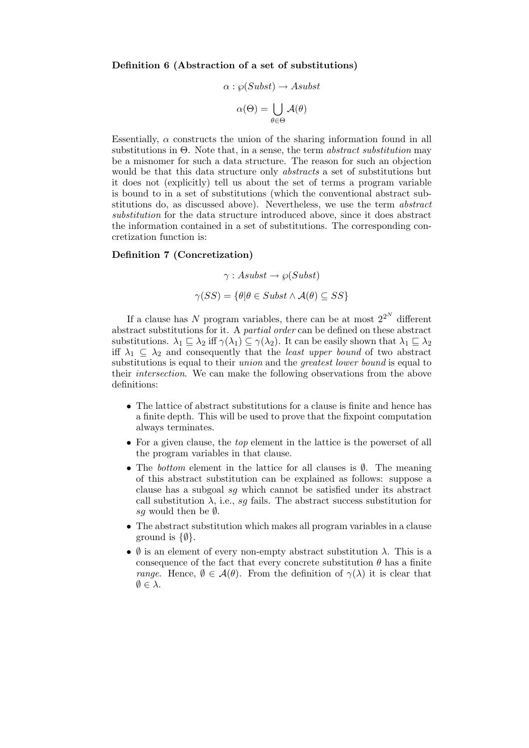Definition 6 (Abstraction of a set of substitutions)

$$
\alpha : \wp(Subst) \to Asubst
$$

$$
\alpha(\Theta) = \bigcup_{\theta \in \Theta} \mathcal{A}(\theta)
$$

Essentially,  $\alpha$  constructs the union of the sharing information found in all substitutions in  $\Theta$ . Note that, in a sense, the term *abstract substitution* may be a misnomer for such a data structure. The reason for such an objection would be that this data structure only abstracts a set of substitutions but it does not (explicitly) tell us about the set of terms a program variable is bound to in a set of substitutions (which the conventional abstract substitutions do, as discussed above). Nevertheless, we use the term abstract substitution for the data structure introduced above, since it does abstract the information contained in a set of substitutions. The corresponding concretization function is:

#### Definition 7 (Concretization)

$$
\gamma: Asubst \to \wp(Subst)
$$

$$
\gamma(SS) = \{\theta | \theta \in Subst \land \mathcal{A}(\theta) \subseteq SS\}
$$

If a clause has N program variables, there can be at most  $2^{2^N}$  different abstract substitutions for it. A partial order can be defined on these abstract substitutions.  $\lambda_1 \subseteq \lambda_2$  iff  $\gamma(\lambda_1) \subseteq \gamma(\lambda_2)$ . It can be easily shown that  $\lambda_1 \subseteq \lambda_2$ iff  $\lambda_1 \subseteq \lambda_2$  and consequently that the *least upper bound* of two abstract substitutions is equal to their *union* and the *greatest lower bound* is equal to their intersection. We can make the following observations from the above definitions:

- The lattice of abstract substitutions for a clause is finite and hence has a finite depth. This will be used to prove that the fixpoint computation always terminates.
- For a given clause, the *top* element in the lattice is the powerset of all the program variables in that clause.
- The bottom element in the lattice for all clauses is  $\emptyset$ . The meaning of this abstract substitution can be explained as follows: suppose a clause has a subgoal sg which cannot be satisfied under its abstract call substitution  $\lambda$ , i.e., sq fails. The abstract success substitution for sq would then be  $\emptyset$ .
- The abstract substitution which makes all program variables in a clause ground is  $\{\emptyset\}.$
- $\emptyset$  is an element of every non-empty abstract substitution  $\lambda$ . This is a consequence of the fact that every concrete substitution  $\theta$  has a finite range. Hence,  $\emptyset \in \mathcal{A}(\theta)$ . From the definition of  $\gamma(\lambda)$  it is clear that  $\emptyset \in \lambda$ .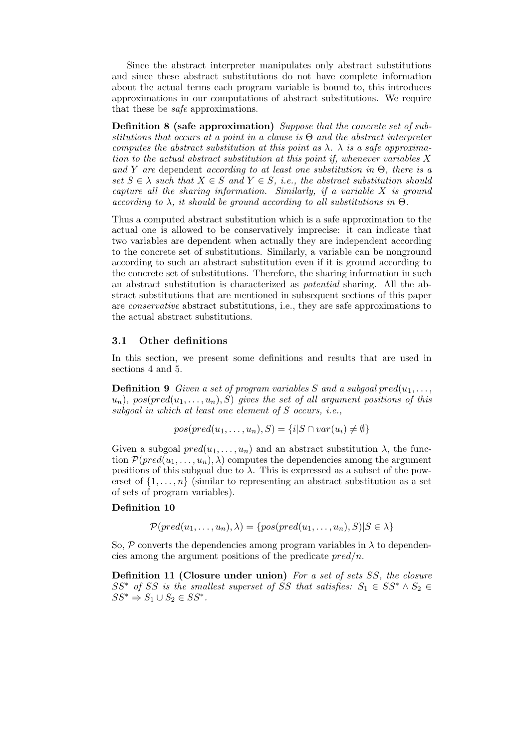Since the abstract interpreter manipulates only abstract substitutions and since these abstract substitutions do not have complete information about the actual terms each program variable is bound to, this introduces approximations in our computations of abstract substitutions. We require that these be safe approximations.

Definition 8 (safe approximation) Suppose that the concrete set of substitutions that occurs at a point in a clause is  $\Theta$  and the abstract interpreter computes the abstract substitution at this point as  $\lambda$ .  $\lambda$  is a safe approximation to the actual abstract substitution at this point if, whenever variables X and Y are dependent according to at least one substitution in  $\Theta$ , there is a set  $S \in \lambda$  such that  $X \in S$  and  $Y \in S$ , i.e., the abstract substitution should capture all the sharing information. Similarly, if a variable  $X$  is ground according to  $\lambda$ , it should be ground according to all substitutions in  $\Theta$ .

Thus a computed abstract substitution which is a safe approximation to the actual one is allowed to be conservatively imprecise: it can indicate that two variables are dependent when actually they are independent according to the concrete set of substitutions. Similarly, a variable can be nonground according to such an abstract substitution even if it is ground according to the concrete set of substitutions. Therefore, the sharing information in such an abstract substitution is characterized as potential sharing. All the abstract substitutions that are mentioned in subsequent sections of this paper are conservative abstract substitutions, i.e., they are safe approximations to the actual abstract substitutions.

#### 3.1 Other definitions

In this section, we present some definitions and results that are used in sections 4 and 5.

**Definition 9** Given a set of program variables S and a subgoal  $pred(u_1, \ldots,$  $u_n$ ), pos(pred( $u_1, \ldots, u_n$ ), S) gives the set of all argument positions of this subgoal in which at least one element of S occurs, i.e.,

$$
pos(pred(u_1, ..., u_n), S) = \{i | S \cap var(u_i) \neq \emptyset\}
$$

Given a subgoal  $pred(u_1, \ldots, u_n)$  and an abstract substitution  $\lambda$ , the function  $\mathcal{P}(pred(u_1, \ldots, u_n), \lambda)$  computes the dependencies among the argument positions of this subgoal due to  $\lambda$ . This is expressed as a subset of the powerset of  $\{1, \ldots, n\}$  (similar to representing an abstract substitution as a set of sets of program variables).

#### Definition 10

$$
\mathcal{P}(pred(u_1, \ldots, u_n), \lambda) = \{pos(pred(u_1, \ldots, u_n), S) | S \in \lambda\}
$$

So,  $\mathcal P$  converts the dependencies among program variables in  $\lambda$  to dependencies among the argument positions of the predicate  $pred/n$ .

Definition 11 (Closure under union) For a set of sets SS, the closure  $SS^*$  of SS is the smallest superset of SS that satisfies:  $S_1 \in SS^* \wedge S_2 \in$  $SS^* \Rightarrow S_1 \cup S_2 \in SS^*.$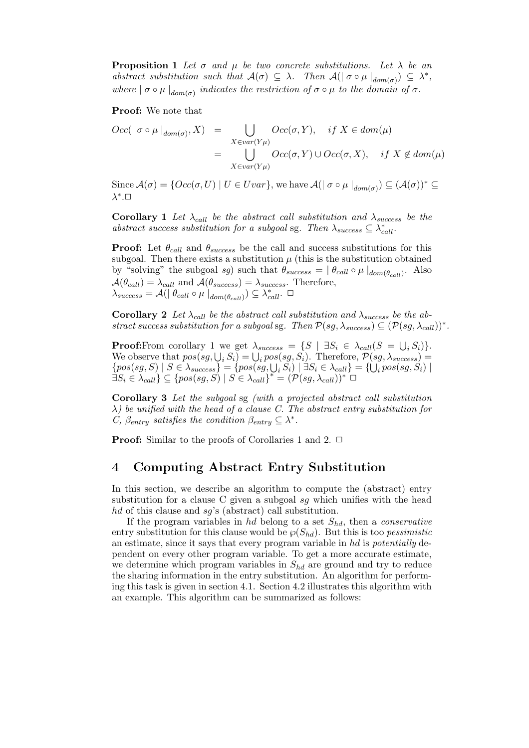**Proposition 1** Let  $\sigma$  and  $\mu$  be two concrete substitutions. Let  $\lambda$  be an abstract substitution such that  $\mathcal{A}(\sigma) \subseteq \lambda$ . Then  $\mathcal{A}(|\sigma \circ \mu|_{dom(\sigma)}) \subseteq \lambda^*$ , where  $|\sigma \circ \mu|_{dom(\sigma)}$  indicates the restriction of  $\sigma \circ \mu$  to the domain of  $\sigma$ .

Proof: We note that

$$
Occ(| \sigma \circ \mu |_{dom(\sigma)}, X) = \bigcup_{X \in var(Y\mu)} Occ(\sigma, Y), \quad \text{if } X \in dom(\mu)
$$
  
= 
$$
\bigcup_{X \in var(Y\mu)} Occ(\sigma, Y) \cup Occ(\sigma, X), \quad \text{if } X \notin dom(\mu)
$$

Since  $\mathcal{A}(\sigma) = \{Occ(\sigma, U) | U \in Uvar\}$ , we have  $\mathcal{A}(| \sigma \circ \mu|_{dom(\sigma)}) \subseteq (\mathcal{A}(\sigma))^* \subseteq$  $\lambda^*$ . $\square$ 

Corollary 1 Let  $\lambda_{call}$  be the abstract call substitution and  $\lambda_{success}$  be the abstract success substitution for a subgoal sg. Then  $\lambda_{success} \subseteq \lambda_{call}^*$ .

**Proof:** Let  $\theta_{\text{coll}}$  and  $\theta_{\text{success}}$  be the call and success substitutions for this subgoal. Then there exists a substitution  $\mu$  (this is the substitution obtained by "solving" the subgoal sg) such that  $\theta_{success} = |\theta_{call} \circ \mu|_{dom(\theta_{call})}$ . Also  $\mathcal{A}(\theta_{call}) = \lambda_{call}$  and  $\mathcal{A}(\theta_{success}) = \lambda_{success}$ . Therefore,  $\lambda_{success} = A(\mid \theta_{call} \circ \mu \mid_{dom(\theta_{call})}) \subseteq \lambda_{call}^*$ .

Corollary 2 Let  $\lambda_{call}$  be the abstract call substitution and  $\lambda_{success}$  be the abstract success substitution for a subgoal sg. Then  $\mathcal{P}(sg, \lambda_{success}) \subseteq (\mathcal{P}(sg, \lambda_{call}))^*$ .

**Proof:**From corollary 1 we get  $\lambda_{success} = \{ S \mid \exists S_i \in \lambda_{call}(S = \bigcup_i S_i) \}.$ We observe that  $pos(sq, \bigcup_i S_i) = \bigcup_i pos(sq, S_i)$ . Therefore,  $P(sq, \lambda_{success}) =$  $\{pos(sg, S) \mid S \in \lambda_{success}\} = \{pos(sg, \bigcup_i S_i) \mid \exists S_i \in \lambda_{call}\} = \{\bigcup_i pos(sg, S_i) \mid \exists S_i \in \lambda_{call}\}$  $\exists S_i \in \lambda_{call}$   $\subseteq$  { $pos(sg, S) | S \in \lambda_{call}$ }\* =  $(\mathcal{P}(sg, \lambda_{call}))^* \square$ 

Corollary 3 Let the subgoal sg (with a projected abstract call substitution  $\lambda$ ) be unified with the head of a clause C. The abstract entry substitution for C,  $\beta_{entry}$  satisfies the condition  $\beta_{entry} \subseteq \lambda^*$ .

**Proof:** Similar to the proofs of Corollaries 1 and 2.  $\Box$ 

### 4 Computing Abstract Entry Substitution

In this section, we describe an algorithm to compute the (abstract) entry substitution for a clause C given a subgoal sg which unifies with the head hd of this clause and sq's (abstract) call substitution.

If the program variables in hd belong to a set  $S_{hd}$ , then a *conservative* entry substitution for this clause would be  $\wp(S_{hd})$ . But this is too *pessimistic* an estimate, since it says that every program variable in  $hd$  is potentially dependent on every other program variable. To get a more accurate estimate, we determine which program variables in  $S_{hd}$  are ground and try to reduce the sharing information in the entry substitution. An algorithm for performing this task is given in section 4.1. Section 4.2 illustrates this algorithm with an example. This algorithm can be summarized as follows: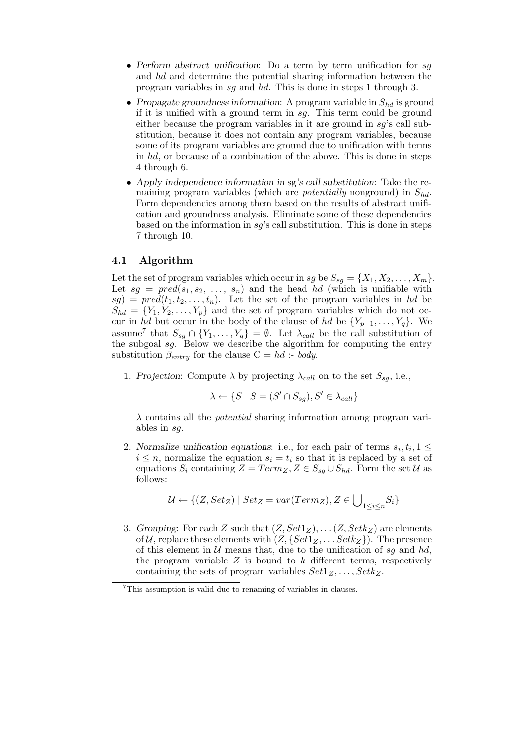- Perform abstract unification: Do a term by term unification for sq and hd and determine the potential sharing information between the program variables in sg and hd. This is done in steps 1 through 3.
- Propagate groundness information: A program variable in  $S_{hd}$  is ground if it is unified with a ground term in  $sg$ . This term could be ground either because the program variables in it are ground in  $sq$ 's call substitution, because it does not contain any program variables, because some of its program variables are ground due to unification with terms in hd, or because of a combination of the above. This is done in steps 4 through 6.
- Apply independence information in sg's call substitution: Take the remaining program variables (which are *potentially* nonground) in  $S_{hd}$ . Form dependencies among them based on the results of abstract unification and groundness analysis. Eliminate some of these dependencies based on the information in  $sg$ 's call substitution. This is done in steps 7 through 10.

### 4.1 Algorithm

Let the set of program variables which occur in sg be  $S_{sq} = \{X_1, X_2, \ldots, X_m\}$ . Let  $sg = pred(s_1, s_2, \ldots, s_n)$  and the head hd (which is unifiable with  $sg) = pred(t_1, t_2, \ldots, t_n)$ . Let the set of the program variables in hd be  $S_{hd} = \{Y_1, Y_2, \ldots, Y_p\}$  and the set of program variables which do not occur in hd but occur in the body of the clause of hd be  $\{Y_{p+1}, \ldots, Y_q\}$ . We assume<sup>7</sup> that  $S_{sg} \cap \{Y_1, \ldots, Y_q\} = \emptyset$ . Let  $\lambda_{call}$  be the call substitution of the subgoal sg. Below we describe the algorithm for computing the entry substitution  $\beta_{entry}$  for the clause  $C = hd$  :- body.

1. Projection: Compute  $\lambda$  by projecting  $\lambda_{call}$  on to the set  $S_{sq}$ , i.e.,

$$
\lambda \leftarrow \{ S \mid S = (S' \cap S_{sg}), S' \in \lambda_{call} \}
$$

 $\lambda$  contains all the *potential* sharing information among program variables in sg.

2. Normalize unification equations: i.e., for each pair of terms  $s_i, t_i, 1 \leq$  $i \leq n$ , normalize the equation  $s_i = t_i$  so that it is replaced by a set of equations  $S_i$  containing  $Z = Term_Z, Z \in S_{sq} \cup S_{hd}$ . Form the set  $U$  as follows:

$$
\mathcal{U} \leftarrow \{(Z, Set_Z) \mid Set_Z = var(Term_Z), Z \in \bigcup\nolimits_{1 \leq i \leq n} S_i\}
$$

3. Grouping: For each Z such that  $(Z, Set1_Z), \ldots (Z, Setk_Z)$  are elements of U, replace these elements with  $(Z, \{Set1_Z, \ldots Setk_Z\})$ . The presence of this element in  $U$  means that, due to the unification of sq and hd, the program variable  $Z$  is bound to  $k$  different terms, respectively containing the sets of program variables  $Set1_Z, \ldots, Setk_Z$ .

 $7$ This assumption is valid due to renaming of variables in clauses.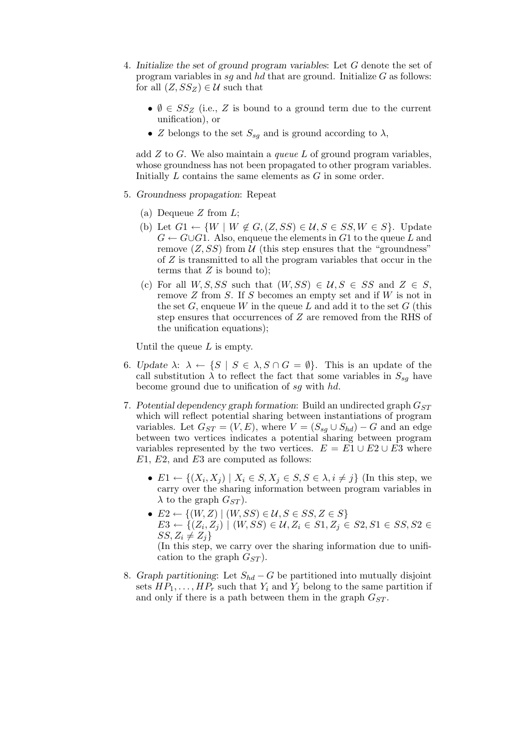- 4. Initialize the set of ground program variables: Let G denote the set of program variables in sq and hd that are ground. Initialize  $G$  as follows: for all  $(Z, SS_Z) \in \mathcal{U}$  such that
	- $\emptyset \in SS_Z$  (i.e., Z is bound to a ground term due to the current unification), or
	- Z belongs to the set  $S_{sq}$  and is ground according to  $\lambda$ ,

add  $Z$  to  $G$ . We also maintain a queue L of ground program variables, whose groundness has not been propagated to other program variables. Initially L contains the same elements as G in some order.

- 5. Groundness propagation: Repeat
	- (a) Dequeue  $Z$  from  $L$ ;
	- (b) Let  $G_1 \leftarrow \{W \mid W \notin G, (Z, SS) \in \mathcal{U}, S \in SS, W \in S\}$ . Update  $G \leftarrow G \cup G1$ . Also, enqueue the elements in G1 to the queue L and remove  $(Z, SS)$  from U (this step ensures that the "groundness" of Z is transmitted to all the program variables that occur in the terms that  $Z$  is bound to);
	- (c) For all  $W, S, SS$  such that  $(W, SS) \in U, S \in SS$  and  $Z \in S$ , remove Z from S. If S becomes an empty set and if W is not in the set  $G$ , enqueue W in the queue L and add it to the set  $G$  (this step ensures that occurrences of Z are removed from the RHS of the unification equations);

Until the queue  $L$  is empty.

- 6. Update  $\lambda: \lambda \leftarrow \{S \mid S \in \lambda, S \cap G = \emptyset\}.$  This is an update of the call substitution  $\lambda$  to reflect the fact that some variables in  $S_{sq}$  have become ground due to unification of sg with hd.
- 7. Potential dependency graph formation: Build an undirected graph  $G_{ST}$ which will reflect potential sharing between instantiations of program variables. Let  $G_{ST} = (V, E)$ , where  $V = (S_{sq} \cup S_{hd}) - G$  and an edge between two vertices indicates a potential sharing between program variables represented by the two vertices.  $E = E1 \cup E2 \cup E3$  where  $E1, E2,$  and  $E3$  are computed as follows:
	- $E1 \leftarrow \{(X_i, X_j) \mid X_i \in S, X_j \in S, S \in \lambda, i \neq j\}$  (In this step, we carry over the sharing information between program variables in  $\lambda$  to the graph  $G_{ST}$ ).
	- $E2 \leftarrow \{(W, Z) \mid (W, SS) \in \mathcal{U}, S \in SS, Z \in S\}$  $E3 \leftarrow \{ (Z_i, Z_j) \mid (W, SS) \in \mathcal{U}, Z_i \in S1, Z_j \in S2, S1 \in SS, S2 \in \mathcal{U}, Z_i \in \mathcal{U}, Z_i \in \mathcal{U}, Z_i \in \mathcal{U} \}$  $SS, Z_i \neq Z_j$

(In this step, we carry over the sharing information due to unification to the graph  $G_{ST}$ ).

8. Graph partitioning: Let  $S_{hd} - G$  be partitioned into mutually disjoint sets  $HP_1, \ldots, HP_r$  such that  $Y_i$  and  $Y_j$  belong to the same partition if and only if there is a path between them in the graph  $G_{ST}$ .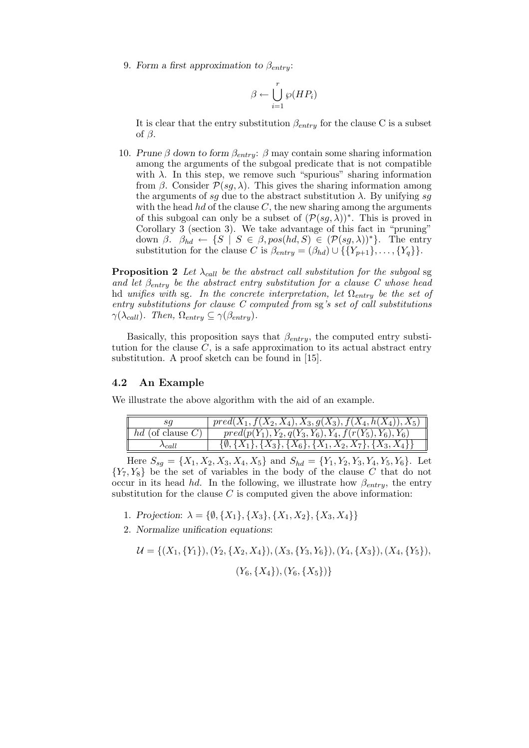9. Form a first approximation to  $\beta_{entru}$ :

$$
\beta \leftarrow \bigcup_{i=1}^r \wp(HP_i)
$$

It is clear that the entry substitution  $\beta_{entry}$  for the clause C is a subset of  $\beta$ .

10. Prune β down to form  $\beta_{entry}$ : β may contain some sharing information among the arguments of the subgoal predicate that is not compatible with  $\lambda$ . In this step, we remove such "spurious" sharing information from  $\beta$ . Consider  $\mathcal{P}(sg, \lambda)$ . This gives the sharing information among the arguments of sq due to the abstract substitution  $\lambda$ . By unifying sq with the head  $hd$  of the clause  $C$ , the new sharing among the arguments of this subgoal can only be a subset of  $(\mathcal{P}(sg, \lambda))^*$ . This is proved in Corollary  $\widetilde{3}$  (section 3). We take advantage of this fact in "pruning" down  $\beta$ .  $\beta_{hd} \leftarrow \{S \mid S \in \beta, pos(hd, S) \in (\mathcal{P}(sg, \lambda))^* \}$ . The entry substitution for the clause C is  $\beta_{entry} = (\beta_{hd}) \cup \{\{Y_{p+1}\}, \ldots, \{Y_q\}\}.$ 

**Proposition 2** Let  $\lambda_{call}$  be the abstract call substitution for the subgoal sg and let  $\beta_{entry}$  be the abstract entry substitution for a clause C whose head hd unifies with sg. In the concrete interpretation, let  $\Omega_{entry}$  be the set of entry substitutions for clause C computed from sg's set of call substitutions  $\gamma(\lambda_{call})$ . Then,  $\Omega_{entry} \subseteq \gamma(\beta_{entry})$ .

Basically, this proposition says that  $\beta_{entry}$ , the computed entry substitution for the clause  $C$ , is a safe approximation to its actual abstract entry substitution. A proof sketch can be found in [15].

### 4.2 An Example

We illustrate the above algorithm with the aid of an example.

|                    | $pred(X_1, f(X_2, X_4), X_3, g(X_3), f(X_4, h(X_4)), X_5)$                   |
|--------------------|------------------------------------------------------------------------------|
| $hd$ (of clause C) | $pred(p(Y_1), Y_2, q(Y_3, Y_6), Y_4, f(r(Y_5), Y_6), Y_6))$                  |
| $\lambda$ call     | $\{\emptyset, \{X_1\}, \{X_3\}, \{X_6\}, \{X_1, X_2, X_7\}, \{X_3, X_4\}\}\$ |

Here  $S_{sg} = \{X_1, X_2, X_3, X_4, X_5\}$  and  $S_{hd} = \{Y_1, Y_2, Y_3, Y_4, Y_5, Y_6\}$ . Let  ${Y_7, Y_8}$  be the set of variables in the body of the clause C that do not occur in its head hd. In the following, we illustrate how  $\beta_{entry}$ , the entry substitution for the clause  $C$  is computed given the above information:

- 1. Projection:  $\lambda = \{\emptyset, \{X_1\}, \{X_3\}, \{X_1, X_2\}, \{X_3, X_4\}\}\$
- 2. Normalize unification equations:

$$
\mathcal{U} = \{ (X_1, \{Y_1\}), (Y_2, \{X_2, X_4\}), (X_3, \{Y_3, Y_6\}), (Y_4, \{X_3\}), (X_4, \{Y_5\}), (Y_6, \{X_4\}), (Y_6, \{X_5\}) \}
$$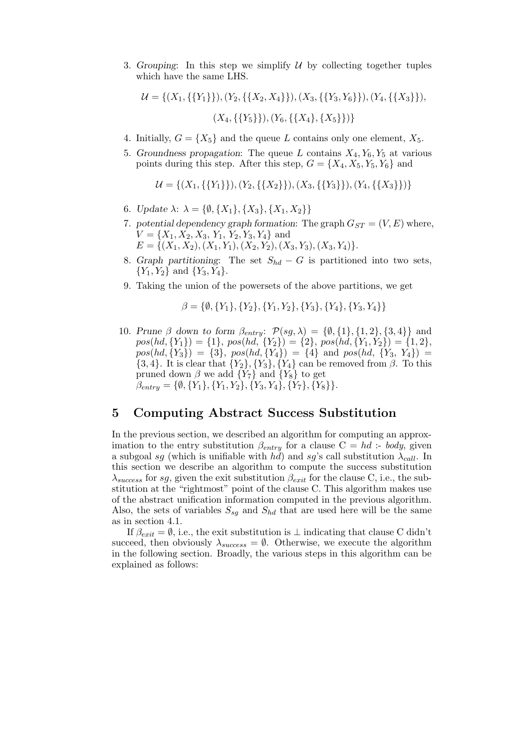3. Grouping: In this step we simplify  $U$  by collecting together tuples which have the same LHS.

$$
\mathcal{U} = \{ (X_1, \{\{Y_1\}\}), (Y_2, \{\{X_2, X_4\}\}), (X_3, \{\{Y_3, Y_6\}\}), (Y_4, \{\{X_3\}\}), (X_4, \{\{Y_5\}\}), (Y_6, \{\{X_4\}, \{X_5\}\}) \}
$$

- 4. Initially,  $G = \{X_5\}$  and the queue L contains only one element,  $X_5$ .
- 5. Groundness propagation: The queue L contains  $X_4, Y_6, Y_5$  at various points during this step. After this step,  $G = \{X_4, X_5, Y_5, Y_6\}$  and

$$
\mathcal{U} = \{ (X_1, \{\{Y_1\}\}), (Y_2, \{\{X_2\}\}), (X_3, \{\{Y_3\}\}), (Y_4, \{\{X_3\}\}) \}
$$

- 6. Update  $\lambda$ :  $\lambda = \{ \emptyset, \{X_1\}, \{X_3\}, \{X_1, X_2\} \}$
- 7. potential dependency graph formation: The graph  $G_{ST} = (V, E)$  where,  $V = \{X_1, X_2, X_3, Y_1, Y_2, Y_3, Y_4\}$  and  $E = \{(X_1, X_2), (X_1, Y_1), (X_2, Y_2), (X_3, Y_3), (X_3, Y_4)\}.$
- 8. Graph partitioning: The set  $S_{hd} G$  is partitioned into two sets,  ${Y_1, Y_2}$  and  ${Y_3, Y_4}$ .
- 9. Taking the union of the powersets of the above partitions, we get

$$
\beta = \{\emptyset, \{Y_1\}, \{Y_2\}, \{Y_1, Y_2\}, \{Y_3\}, \{Y_4\}, \{Y_3, Y_4\}\}\
$$

10. Prune  $\beta$  down to form  $\beta_{entry}$ :  $\mathcal{P}(sg, \lambda) = {\emptyset, {1}, {1, 2}, {3, 4}}$  and  $pos(hd, {Y_1}) = {1}, pos(hd, {Y_2}) = {2}, pos(hd, {Y_1, Y_2}) = {1, 2},$  $pos(hd, \{Y_3\}) = \{3\}, pos(hd, \{Y_4\}) = \{4\}$  and  $pos(hd, \{Y_3, Y_4\}) =$  $\{3, 4\}$ . It is clear that  $\{Y_2\}$ ,  $\{Y_3\}$ ,  $\{Y_4\}$  can be removed from  $\beta$ . To this pruned down  $\beta$  we add  $\{Y_7\}$  and  $\{Y_8\}$  to get  $\beta_{entry} = \{\emptyset, \{Y_1\}, \{Y_1, Y_2\}, \{Y_3, Y_4\}, \{Y_7\}, \{Y_8\}\}.$ 

### 5 Computing Abstract Success Substitution

In the previous section, we described an algorithm for computing an approximation to the entry substitution  $\beta_{entry}$  for a clause  $C = hd$  :- body, given a subgoal sg (which is unifiable with  $hd$ ) and sg's call substitution  $\lambda_{call}$ . In this section we describe an algorithm to compute the success substitution  $\lambda_{success}$  for sg, given the exit substitution  $\beta_{exit}$  for the clause C, i.e., the substitution at the "rightmost" point of the clause C. This algorithm makes use of the abstract unification information computed in the previous algorithm. Also, the sets of variables  $S_{sq}$  and  $S_{hd}$  that are used here will be the same as in section 4.1.

If  $\beta_{exit} = \emptyset$ , i.e., the exit substitution is  $\bot$  indicating that clause C didn't succeed, then obviously  $\lambda_{success} = \emptyset$ . Otherwise, we execute the algorithm in the following section. Broadly, the various steps in this algorithm can be explained as follows: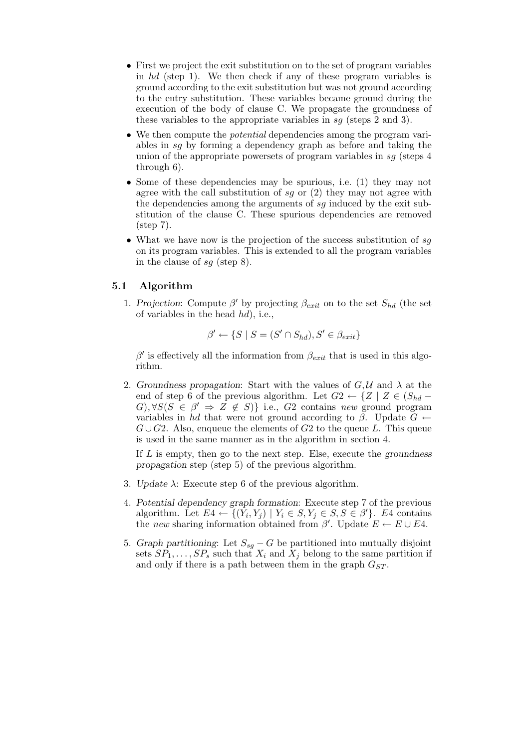- First we project the exit substitution on to the set of program variables in hd (step 1). We then check if any of these program variables is ground according to the exit substitution but was not ground according to the entry substitution. These variables became ground during the execution of the body of clause C. We propagate the groundness of these variables to the appropriate variables in sg (steps 2 and 3).
- We then compute the *potential* dependencies among the program variables in sg by forming a dependency graph as before and taking the union of the appropriate powersets of program variables in  $sq$  (steps 4) through 6).
- Some of these dependencies may be spurious, i.e. (1) they may not agree with the call substitution of sq or  $(2)$  they may not agree with the dependencies among the arguments of sg induced by the exit substitution of the clause C. These spurious dependencies are removed (step 7).
- What we have now is the projection of the success substitution of  $sg$ on its program variables. This is extended to all the program variables in the clause of sq (step 8).

### 5.1 Algorithm

1. Projection: Compute  $\beta'$  by projecting  $\beta_{exit}$  on to the set  $S_{hd}$  (the set of variables in the head  $hd$ , i.e.,

$$
\beta' \leftarrow \{ S \mid S = (S' \cap S_{hd}), S' \in \beta_{exit} \}
$$

 $\beta'$  is effectively all the information from  $\beta_{exit}$  that is used in this algorithm.

2. Groundness propagation: Start with the values of  $G, \mathcal{U}$  and  $\lambda$  at the end of step 6 of the previous algorithm. Let  $G2 \leftarrow \{Z \mid Z \in (S_{hd} - \mathbb{Z})\}$  $G, \forall S(S \in \beta' \Rightarrow Z \notin S) \}$  i.e.,  $G2$  contains new ground program variables in hd that were not ground according to  $\beta$ . Update  $G \leftarrow$  $G \cup G2$ . Also, enqueue the elements of G2 to the queue L. This queue is used in the same manner as in the algorithm in section 4.

If  $L$  is empty, then go to the next step. Else, execute the groundness propagation step (step 5) of the previous algorithm.

- 3. Update  $\lambda$ : Execute step 6 of the previous algorithm.
- 4. Potential dependency graph formation: Execute step 7 of the previous algorithm. Let  $E_4 \leftarrow \{(Y_i, Y_j) \mid Y_i \in S, Y_j \in S, S \in \beta'\}$ . E4 contains the new sharing information obtained from  $\beta'$ . Update  $E \leftarrow E \cup E4$ .
- 5. Graph partitioning: Let  $S_{sg} G$  be partitioned into mutually disjoint sets  $SP_1, \ldots, SP_s$  such that  $X_i$  and  $X_j$  belong to the same partition if and only if there is a path between them in the graph  $G_{ST}$ .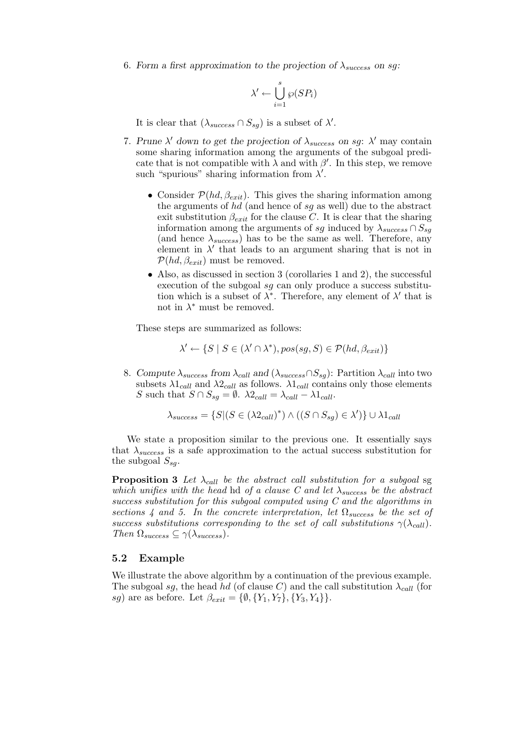6. Form a first approximation to the projection of  $\lambda_{success}$  on sq.

$$
\lambda' \leftarrow \bigcup_{i=1}^s \wp(SP_i)
$$

It is clear that  $(\lambda_{success} \cap S_{sg})$  is a subset of  $\lambda'$ .

- 7. Prune  $\lambda'$  down to get the projection of  $\lambda_{success}$  on sg:  $\lambda'$  may contain some sharing information among the arguments of the subgoal predicate that is not compatible with  $\lambda$  and with  $\beta'$ . In this step, we remove such "spurious" sharing information from  $\lambda'$ .
	- Consider  $P(hd, \beta_{exit})$ . This gives the sharing information among the arguments of hd (and hence of sg as well) due to the abstract exit substitution  $\beta_{exit}$  for the clause C. It is clear that the sharing information among the arguments of sg induced by  $\lambda_{success} \cap S_{sq}$ (and hence  $\lambda_{success}$ ) has to be the same as well. Therefore, any element in  $\lambda'$  that leads to an argument sharing that is not in  $\mathcal{P}(hd, \beta_{exit})$  must be removed.
	- Also, as discussed in section 3 (corollaries 1 and 2), the successful execution of the subgoal sg can only produce a success substitution which is a subset of  $\lambda^*$ . Therefore, any element of  $\lambda'$  that is not in  $\lambda^*$  must be removed.

These steps are summarized as follows:

$$
\lambda' \leftarrow \{S \mid S \in (\lambda' \cap \lambda^*), pos(sg, S) \in \mathcal{P}(hd, \beta_{exit})\}
$$

8. Compute  $\lambda_{success}$  from  $\lambda_{call}$  and  $(\lambda_{success} \cap S_{sg})$ : Partition  $\lambda_{call}$  into two subsets  $\lambda_1_{call}$  and  $\lambda_2_{call}$  as follows.  $\lambda_1_{call}$  contains only those elements S such that  $S \cap S_{sg} = \emptyset$ .  $\lambda 2_{call} = \lambda_{call} - \lambda 1_{call}$ .

$$
\lambda_{success} = \{ S | (S \in (\lambda 2_{call})^*) \land ((S \cap S_{sg}) \in \lambda') \} \cup \lambda 1_{call}
$$

We state a proposition similar to the previous one. It essentially says that  $\lambda_{success}$  is a safe approximation to the actual success substitution for the subgoal  $S_{sq}$ .

**Proposition 3** Let  $\lambda_{call}$  be the abstract call substitution for a subgoal sg which unifies with the head hd of a clause C and let  $\lambda_{success}$  be the abstract success substitution for this subgoal computed using  $C$  and the algorithms in sections 4 and 5. In the concrete interpretation, let  $\Omega_{success}$  be the set of success substitutions corresponding to the set of call substitutions  $\gamma(\lambda_{\text{call}})$ . Then  $\Omega_{success} \subseteq \gamma(\lambda_{success})$ .

#### 5.2 Example

We illustrate the above algorithm by a continuation of the previous example. The subgoal sg, the head hd (of clause C) and the call substitution  $\lambda_{call}$  (for sg) are as before. Let  $\beta_{exit} = {\emptyset, {Y_1, Y_7}, {Y_3, Y_4}}.$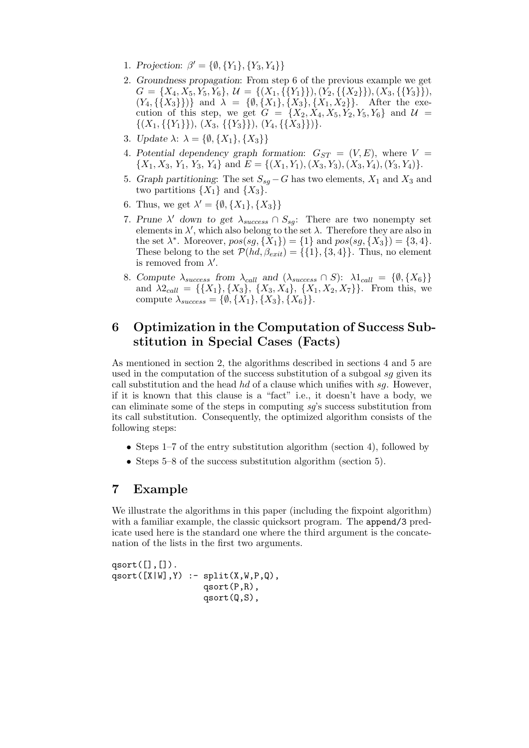- 1. Projection:  $\beta' = {\emptyset, {Y_1}, {Y_3}, Y_4}$
- 2. Groundness propagation: From step 6 of the previous example we get  $G = \{X_4, X_5, Y_5, Y_6\}, \mathcal{U} = \{(X_1, \{\{Y_1\}\}), (Y_2, \{\{X_2\}\}), (X_3, \{\{Y_3\}\}),$  $(Y_4, \{\{X_3\}\})$  and  $\lambda = \{\emptyset, \{X_1\}, \{X_3\}, \{X_1, X_2\}\}.$  After the execution of this step, we get  $G = \{X_2, X_4, X_5, Y_2, Y_5, Y_6\}$  and  $\mathcal{U} =$  $\{(X_1,\{\{Y_1\}\}),\,(X_3,\,\{\{Y_3\}\}),\,(Y_4,\{\{X_3\}\})\}.$
- 3. Update  $\lambda$ :  $\lambda = \{\emptyset, \{X_1\}, \{X_3\}\}\$
- 4. Potential dependency graph formation:  $G_{ST} = (V, E)$ , where  $V =$  $\{X_1, X_3, Y_1, Y_3, Y_4\}$  and  $E = \{(X_1, Y_1), (X_3, Y_3), (X_3, Y_4), (Y_3, Y_4)\}.$
- 5. Graph partitioning: The set  $S_{sq} G$  has two elements,  $X_1$  and  $X_3$  and two partitions  $\{X_1\}$  and  $\{X_3\}$ .
- 6. Thus, we get  $\lambda' = \{\emptyset, \{X_1\}, \{X_3\}\}\$
- 7. Prune  $\lambda'$  down to get  $\lambda_{success} \cap S_{sg}$ : There are two nonempty set elements in  $\lambda'$ , which also belong to the set  $\lambda$ . Therefore they are also in the set  $\lambda^*$ . Moreover,  $pos(sg, {\bar{X}_1}) = {1}$  and  $pos(sg, {X_3}) = {3, 4}$ . These belong to the set  $P(hd, \beta_{exit}) = \{\{1\}, \{3, 4\}\}\$ . Thus, no element is removed from  $\lambda'$ .
- 8. Compute  $\lambda_{success}$  from  $\lambda_{call}$  and  $(\lambda_{success} \cap S)$ :  $\lambda 1_{call} = {\emptyset, \{X_6\}}$ and  $\lambda 2_{call} = \{\{X_1\}, \{X_3\}, \{X_3, X_4\}, \{X_1, X_2, X_7\}\}.$  From this, we compute  $\lambda_{success} = \{\emptyset, \{X_1\}, \{X_3\}, \{X_6\}\}.$

# 6 Optimization in the Computation of Success Substitution in Special Cases (Facts)

As mentioned in section 2, the algorithms described in sections 4 and 5 are used in the computation of the success substitution of a subgoal sq given its call substitution and the head  $hd$  of a clause which unifies with  $sg$ . However, if it is known that this clause is a "fact" i.e., it doesn't have a body, we can eliminate some of the steps in computing sg's success substitution from its call substitution. Consequently, the optimized algorithm consists of the following steps:

- Steps  $1-7$  of the entry substitution algorithm (section 4), followed by
- Steps 5–8 of the success substitution algorithm (section 5).

# 7 Example

We illustrate the algorithms in this paper (including the fixpoint algorithm) with a familiar example, the classic quicksort program. The append/3 predicate used here is the standard one where the third argument is the concatenation of the lists in the first two arguments.

qsort $([], [])$ . qsort $([X|W], Y)$  :- split $(X, W, P, Q)$ , qsort(P,R), qsort(Q,S),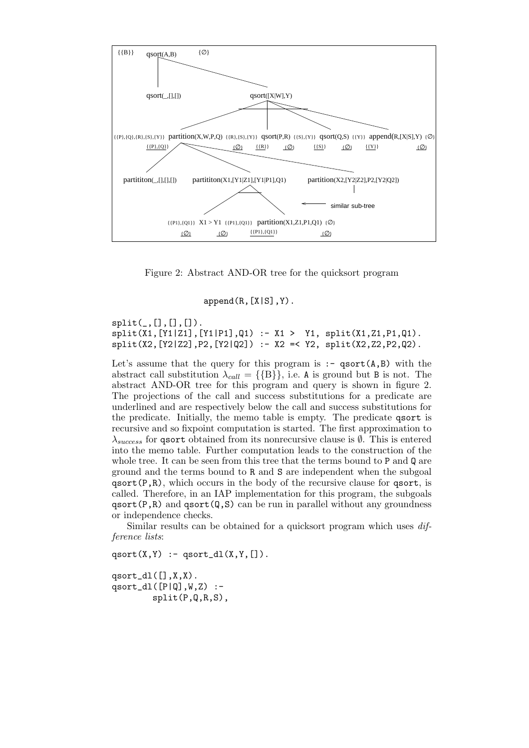

Figure 2: Abstract AND-OR tree for the quicksort program

 $append(R,[X|S],Y)$ .

 $split([,[],[],[]).$  $split(X1, [Y1|Z1], [Y1|P1], Q1) :- X1 > Y1, split(X1, Z1, P1, Q1).$  $split(X2,[Y2|Z2],P2,[Y2|Q2]) :- X2 =$ 

Let's assume that the query for this program is  $:-$  qsort $(A, B)$  with the abstract call substitution  $\lambda_{call} = \{\{\text{B}\}\}\$ , i.e. A is ground but B is not. The abstract AND-OR tree for this program and query is shown in figure 2. The projections of the call and success substitutions for a predicate are underlined and are respectively below the call and success substitutions for the predicate. Initially, the memo table is empty. The predicate qsort is recursive and so fixpoint computation is started. The first approximation to  $\lambda_{success}$  for qsort obtained from its nonrecursive clause is  $\emptyset$ . This is entered into the memo table. Further computation leads to the construction of the whole tree. It can be seen from this tree that the terms bound to P and Q are ground and the terms bound to R and S are independent when the subgoal  $qsort(P,R)$ , which occurs in the body of the recursive clause for  $qsort$ , is called. Therefore, in an IAP implementation for this program, the subgoals  $qsort(P,R)$  and  $qsort(Q,S)$  can be run in parallel without any groundness or independence checks.

Similar results can be obtained for a quicksort program which uses difference lists:

qsort $(X,Y)$  :- qsort\_dl $(X,Y,[])$ .

qsort\_dl $([$ , $X,X)$ . qsort\_dl $([P|Q], W, Z)$  :split(P,Q,R,S),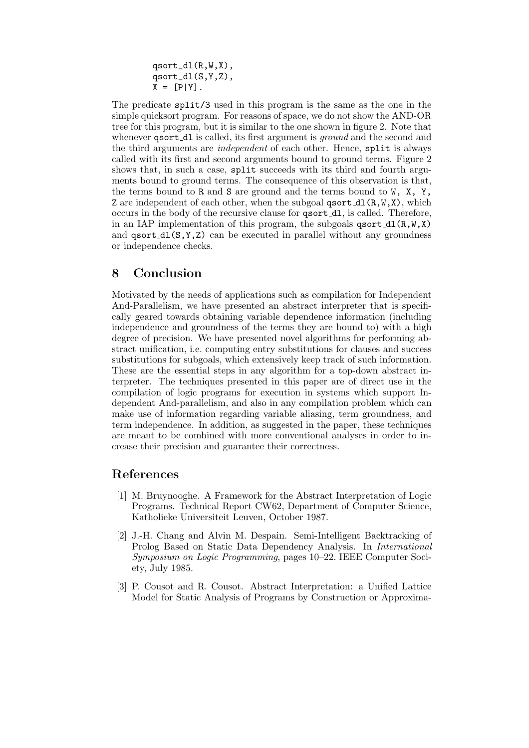qsort\_dl(R,W,X), qsort\_dl(S,Y,Z),  $X = [P|Y].$ 

The predicate split/3 used in this program is the same as the one in the simple quicksort program. For reasons of space, we do not show the AND-OR tree for this program, but it is similar to the one shown in figure 2. Note that whenever **qsort\_dl** is called, its first argument is *ground* and the second and the third arguments are independent of each other. Hence, split is always called with its first and second arguments bound to ground terms. Figure 2 shows that, in such a case, split succeeds with its third and fourth arguments bound to ground terms. The consequence of this observation is that, the terms bound to R and S are ground and the terms bound to  $W$ ,  $X$ ,  $Y$ , Z are independent of each other, when the subgoal  $qsort_d1(R,W,X)$ , which occurs in the body of the recursive clause for qsort dl, is called. Therefore, in an IAP implementation of this program, the subgoals  $qsort_d1(R,W,X)$ and  $qsort_d(S,Y,Z)$  can be executed in parallel without any groundness or independence checks.

# 8 Conclusion

Motivated by the needs of applications such as compilation for Independent And-Parallelism, we have presented an abstract interpreter that is specifically geared towards obtaining variable dependence information (including independence and groundness of the terms they are bound to) with a high degree of precision. We have presented novel algorithms for performing abstract unification, i.e. computing entry substitutions for clauses and success substitutions for subgoals, which extensively keep track of such information. These are the essential steps in any algorithm for a top-down abstract interpreter. The techniques presented in this paper are of direct use in the compilation of logic programs for execution in systems which support Independent And-parallelism, and also in any compilation problem which can make use of information regarding variable aliasing, term groundness, and term independence. In addition, as suggested in the paper, these techniques are meant to be combined with more conventional analyses in order to increase their precision and guarantee their correctness.

# References

- [1] M. Bruynooghe. A Framework for the Abstract Interpretation of Logic Programs. Technical Report CW62, Department of Computer Science, Katholieke Universiteit Leuven, October 1987.
- [2] J.-H. Chang and Alvin M. Despain. Semi-Intelligent Backtracking of Prolog Based on Static Data Dependency Analysis. In International Symposium on Logic Programming, pages 10–22. IEEE Computer Society, July 1985.
- [3] P. Cousot and R. Cousot. Abstract Interpretation: a Unified Lattice Model for Static Analysis of Programs by Construction or Approxima-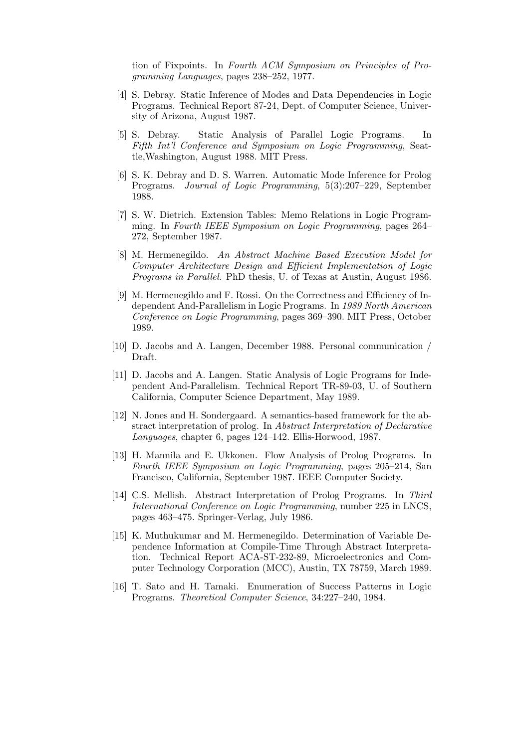tion of Fixpoints. In Fourth ACM Symposium on Principles of Programming Languages, pages 238–252, 1977.

- [4] S. Debray. Static Inference of Modes and Data Dependencies in Logic Programs. Technical Report 87-24, Dept. of Computer Science, University of Arizona, August 1987.
- [5] S. Debray. Static Analysis of Parallel Logic Programs. In Fifth Int'l Conference and Symposium on Logic Programming, Seattle,Washington, August 1988. MIT Press.
- [6] S. K. Debray and D. S. Warren. Automatic Mode Inference for Prolog Programs. Journal of Logic Programming, 5(3):207–229, September 1988.
- [7] S. W. Dietrich. Extension Tables: Memo Relations in Logic Programming. In Fourth IEEE Symposium on Logic Programming, pages 264– 272, September 1987.
- [8] M. Hermenegildo. An Abstract Machine Based Execution Model for Computer Architecture Design and Efficient Implementation of Logic Programs in Parallel. PhD thesis, U. of Texas at Austin, August 1986.
- [9] M. Hermenegildo and F. Rossi. On the Correctness and Efficiency of Independent And-Parallelism in Logic Programs. In 1989 North American Conference on Logic Programming, pages 369–390. MIT Press, October 1989.
- [10] D. Jacobs and A. Langen, December 1988. Personal communication / Draft.
- [11] D. Jacobs and A. Langen. Static Analysis of Logic Programs for Independent And-Parallelism. Technical Report TR-89-03, U. of Southern California, Computer Science Department, May 1989.
- [12] N. Jones and H. Sondergaard. A semantics-based framework for the abstract interpretation of prolog. In Abstract Interpretation of Declarative Languages, chapter 6, pages 124–142. Ellis-Horwood, 1987.
- [13] H. Mannila and E. Ukkonen. Flow Analysis of Prolog Programs. In Fourth IEEE Symposium on Logic Programming, pages 205–214, San Francisco, California, September 1987. IEEE Computer Society.
- [14] C.S. Mellish. Abstract Interpretation of Prolog Programs. In Third International Conference on Logic Programming, number 225 in LNCS, pages 463–475. Springer-Verlag, July 1986.
- [15] K. Muthukumar and M. Hermenegildo. Determination of Variable Dependence Information at Compile-Time Through Abstract Interpretation. Technical Report ACA-ST-232-89, Microelectronics and Computer Technology Corporation (MCC), Austin, TX 78759, March 1989.
- [16] T. Sato and H. Tamaki. Enumeration of Success Patterns in Logic Programs. Theoretical Computer Science, 34:227–240, 1984.